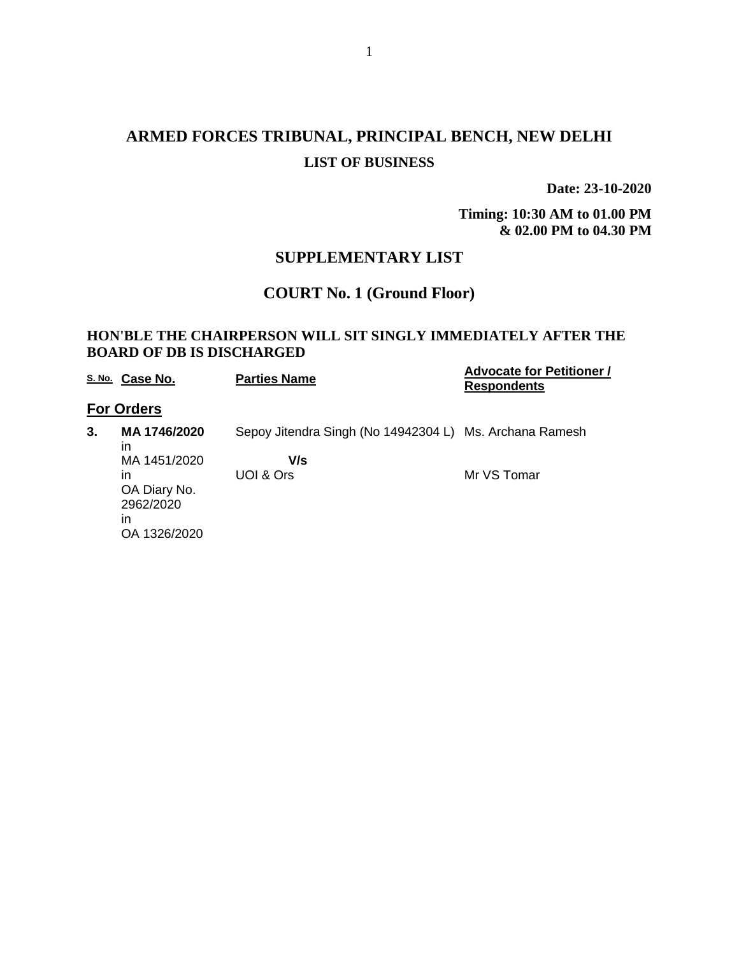# **ARMED FORCES TRIBUNAL, PRINCIPAL BENCH, NEW DELHI LIST OF BUSINESS**

**Date: 23-10-2020**

**Timing: 10:30 AM to 01.00 PM & 02.00 PM to 04.30 PM**

## **SUPPLEMENTARY LIST**

### **COURT No. 1 (Ground Floor)**

#### **HON'BLE THE CHAIRPERSON WILL SIT SINGLY IMMEDIATELY AFTER THE BOARD OF DB IS DISCHARGED**

|    | S. No. Case No.                                                                             | <b>Parties Name</b>                                                         | <b>Advocate for Petitioner /</b><br><b>Respondents</b> |
|----|---------------------------------------------------------------------------------------------|-----------------------------------------------------------------------------|--------------------------------------------------------|
|    | <b>For Orders</b>                                                                           |                                                                             |                                                        |
| 3. | MA 1746/2020<br>in<br>MA 1451/2020<br>in<br>OA Diary No.<br>2962/2020<br>in<br>OA 1326/2020 | Sepoy Jitendra Singh (No 14942304 L) Ms. Archana Ramesh<br>V/s<br>UOI & Ors | Mr VS Tomar                                            |
|    |                                                                                             |                                                                             |                                                        |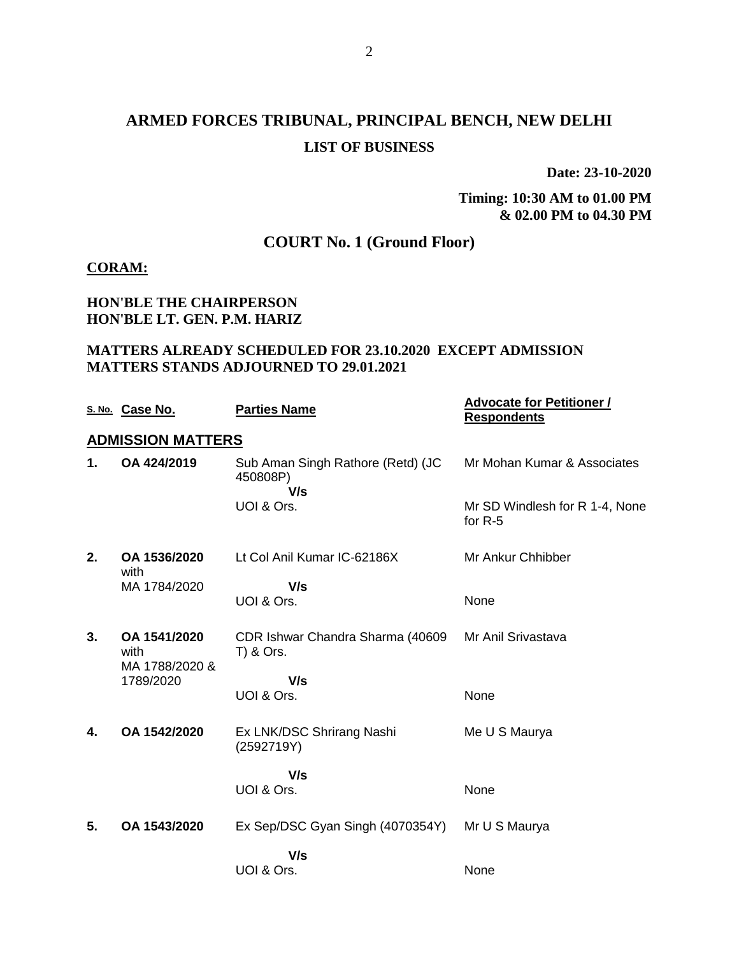# **ARMED FORCES TRIBUNAL, PRINCIPAL BENCH, NEW DELHI LIST OF BUSINESS**

**Date: 23-10-2020**

#### **Timing: 10:30 AM to 01.00 PM & 02.00 PM to 04.30 PM**

## **COURT No. 1 (Ground Floor)**

#### **CORAM:**

### **HON'BLE THE CHAIRPERSON HON'BLE LT. GEN. P.M. HARIZ**

#### **MATTERS ALREADY SCHEDULED FOR 23.10.2020 EXCEPT ADMISSION MATTERS STANDS ADJOURNED TO 29.01.2021**

|    | S. No. Case No.                        | <b>Parties Name</b>                                  | <b>Advocate for Petitioner /</b><br><b>Respondents</b> |
|----|----------------------------------------|------------------------------------------------------|--------------------------------------------------------|
|    | <b>ADMISSION MATTERS</b>               |                                                      |                                                        |
| 1. | OA 424/2019                            | Sub Aman Singh Rathore (Retd) (JC<br>450808P)<br>V/s | Mr Mohan Kumar & Associates                            |
|    |                                        | UOI & Ors.                                           | Mr SD Windlesh for R 1-4, None<br>for $R-5$            |
| 2. | OA 1536/2020<br>with                   | Lt Col Anil Kumar IC-62186X                          | Mr Ankur Chhibber                                      |
|    | MA 1784/2020                           | V/s                                                  |                                                        |
|    |                                        | UOI & Ors.                                           | None                                                   |
| 3. | OA 1541/2020<br>with<br>MA 1788/2020 & | CDR Ishwar Chandra Sharma (40609<br>T) & Ors.        | Mr Anil Srivastava                                     |
|    | 1789/2020                              | V/s                                                  |                                                        |
|    |                                        | UOI & Ors.                                           | None                                                   |
| 4. | OA 1542/2020                           | Ex LNK/DSC Shrirang Nashi<br>(2592719Y)              | Me U S Maurya                                          |
|    |                                        | V/s                                                  |                                                        |
|    |                                        | UOI & Ors.                                           | None                                                   |
| 5. | OA 1543/2020                           | Ex Sep/DSC Gyan Singh (4070354Y)                     | Mr U S Maurya                                          |
|    |                                        | V/s                                                  |                                                        |
|    |                                        | UOI & Ors.                                           | None                                                   |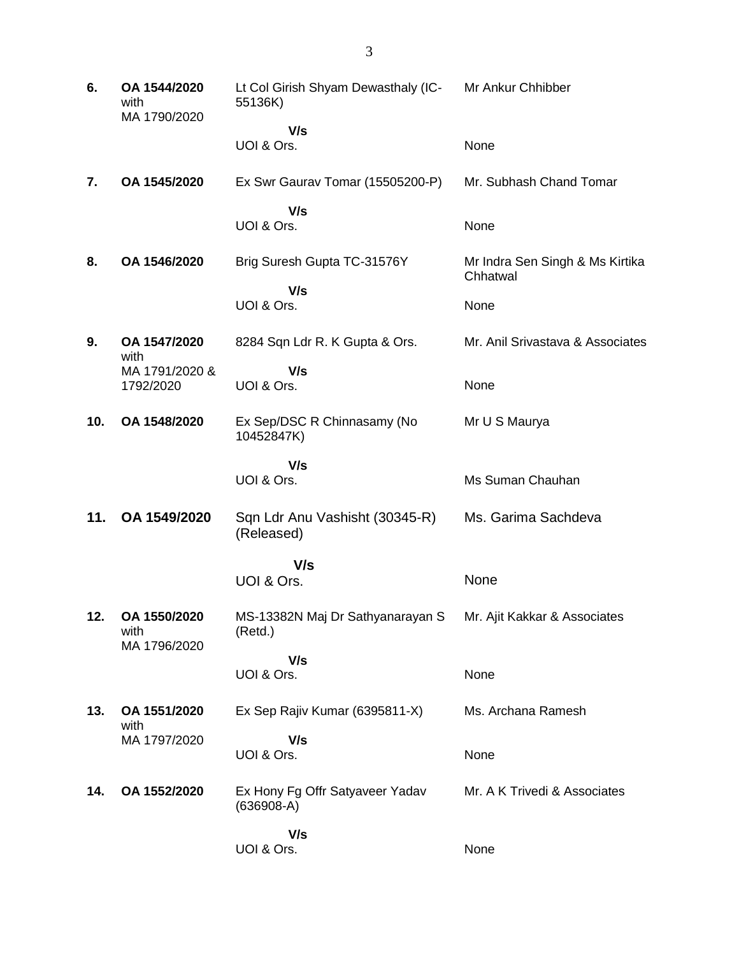| 6.  | OA 1544/2020<br>with<br>MA 1790/2020 | Lt Col Girish Shyam Dewasthaly (IC-<br>55136K)  | Mr Ankur Chhibber                           |
|-----|--------------------------------------|-------------------------------------------------|---------------------------------------------|
|     |                                      | V/s                                             |                                             |
|     |                                      | UOI & Ors.                                      | None                                        |
| 7.  | OA 1545/2020                         | Ex Swr Gaurav Tomar (15505200-P)                | Mr. Subhash Chand Tomar                     |
|     |                                      | V/s<br>UOI & Ors.                               | None                                        |
| 8.  | OA 1546/2020                         | Brig Suresh Gupta TC-31576Y                     | Mr Indra Sen Singh & Ms Kirtika<br>Chhatwal |
|     |                                      | V/s<br>UOI & Ors.                               | None                                        |
| 9.  | OA 1547/2020<br>with                 | 8284 Sqn Ldr R. K Gupta & Ors.                  | Mr. Anil Srivastava & Associates            |
|     | MA 1791/2020 &<br>1792/2020          | V/s<br>UOI & Ors.                               | None                                        |
| 10. | OA 1548/2020                         | Ex Sep/DSC R Chinnasamy (No<br>10452847K)       | Mr U S Maurya                               |
|     |                                      | V/s                                             |                                             |
|     |                                      | UOI & Ors.                                      | Ms Suman Chauhan                            |
| 11. | OA 1549/2020                         | Sqn Ldr Anu Vashisht (30345-R)<br>(Released)    | Ms. Garima Sachdeva                         |
|     |                                      | V/s                                             |                                             |
|     |                                      | UOI & Ors.                                      | None                                        |
| 12. | OA 1550/2020<br>with<br>MA 1796/2020 | MS-13382N Maj Dr Sathyanarayan S<br>(Retd.)     | Mr. Ajit Kakkar & Associates                |
|     |                                      | V/s                                             |                                             |
|     |                                      | UOI & Ors.                                      | None                                        |
| 13. | OA 1551/2020<br>with                 | Ex Sep Rajiv Kumar (6395811-X)                  | Ms. Archana Ramesh                          |
|     | MA 1797/2020                         | V/s<br>UOI & Ors.                               | None                                        |
| 14. | OA 1552/2020                         | Ex Hony Fg Offr Satyaveer Yadav<br>$(636908-A)$ | Mr. A K Trivedi & Associates                |
|     |                                      | V/s<br>UOI & Ors.                               | None                                        |
|     |                                      |                                                 |                                             |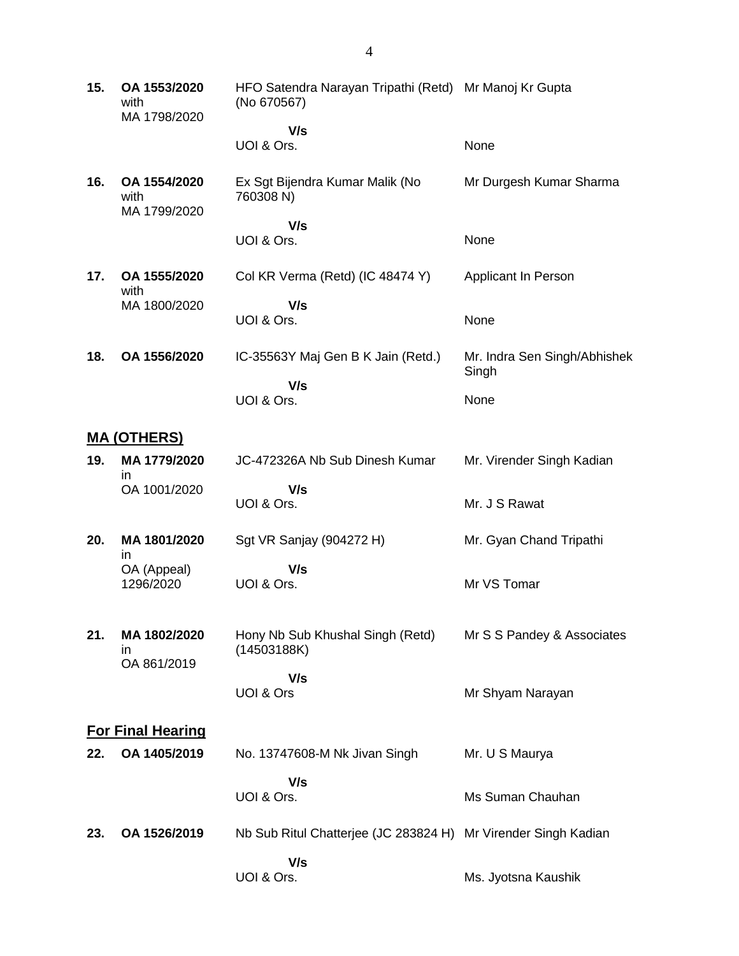| 15. | OA 1553/2020<br>with<br>MA 1798/2020 | HFO Satendra Narayan Tripathi (Retd) Mr Manoj Kr Gupta<br>(No 670567) |                                       |
|-----|--------------------------------------|-----------------------------------------------------------------------|---------------------------------------|
|     |                                      | V/s                                                                   |                                       |
|     |                                      | UOI & Ors.                                                            | None                                  |
| 16. | OA 1554/2020<br>with<br>MA 1799/2020 | Ex Sgt Bijendra Kumar Malik (No<br>760308 N)                          | Mr Durgesh Kumar Sharma               |
|     |                                      | V/s                                                                   |                                       |
|     |                                      | UOI & Ors.                                                            | None                                  |
| 17. | OA 1555/2020<br>with                 | Col KR Verma (Retd) (IC 48474 Y)                                      | Applicant In Person                   |
|     | MA 1800/2020                         | V/s                                                                   |                                       |
|     |                                      | UOI & Ors.                                                            | None                                  |
| 18. | OA 1556/2020                         | IC-35563Y Maj Gen B K Jain (Retd.)                                    | Mr. Indra Sen Singh/Abhishek<br>Singh |
|     |                                      | V/s<br>UOI & Ors.                                                     | None                                  |
|     |                                      |                                                                       |                                       |
|     | <u>MA (OTHERS)</u>                   |                                                                       |                                       |
| 19. | MA 1779/2020<br>in                   | JC-472326A Nb Sub Dinesh Kumar                                        | Mr. Virender Singh Kadian             |
|     | OA 1001/2020                         | V/s                                                                   |                                       |
|     |                                      | UOI & Ors.                                                            | Mr. J S Rawat                         |
| 20. | MA 1801/2020<br>in                   | Sgt VR Sanjay (904272 H)                                              | Mr. Gyan Chand Tripathi               |
|     | OA (Appeal)                          | V/s                                                                   |                                       |
|     | 1296/2020                            | UOI & Ors.                                                            | Mr VS Tomar                           |
|     |                                      |                                                                       |                                       |
| 21. | MA 1802/2020<br>ın<br>OA 861/2019    | Hony Nb Sub Khushal Singh (Retd)<br>(14503188K)                       | Mr S S Pandey & Associates            |
|     |                                      | V/s                                                                   |                                       |
|     |                                      | UOI & Ors                                                             | Mr Shyam Narayan                      |
|     | <b>For Final Hearing</b>             |                                                                       |                                       |
|     |                                      |                                                                       |                                       |
| 22. | OA 1405/2019                         | No. 13747608-M Nk Jivan Singh                                         | Mr. U S Maurya                        |
|     |                                      | V/s                                                                   |                                       |
|     |                                      | UOI & Ors.                                                            | Ms Suman Chauhan                      |
| 23. | OA 1526/2019                         | Nb Sub Ritul Chatterjee (JC 283824 H) Mr Virender Singh Kadian        |                                       |
|     |                                      | V/s                                                                   |                                       |
|     |                                      | UOI & Ors.                                                            | Ms. Jyotsna Kaushik                   |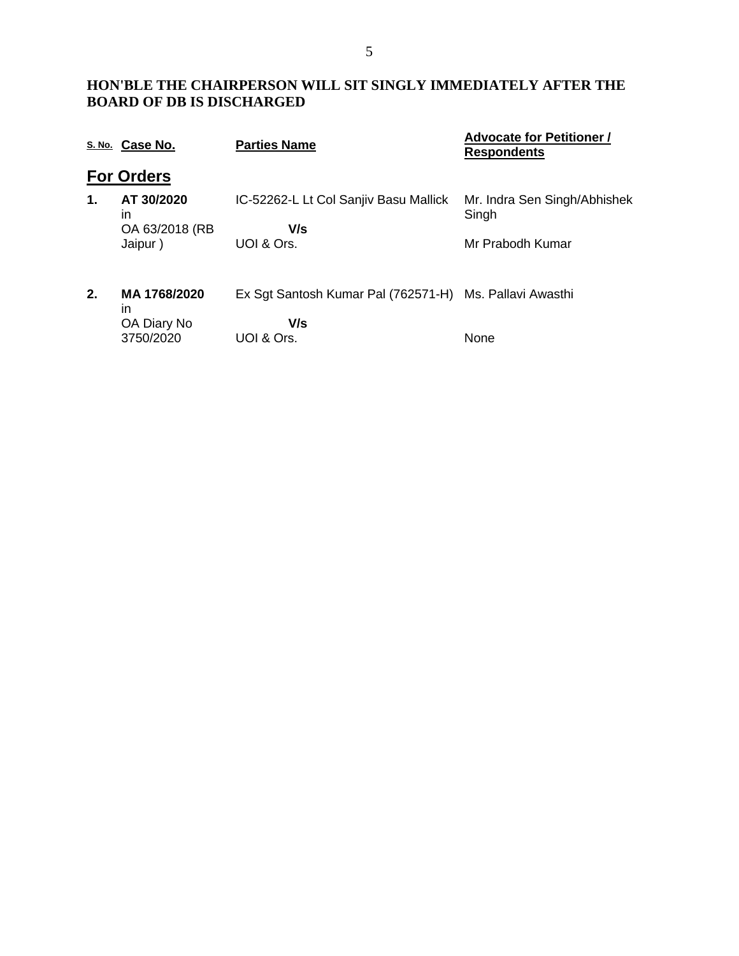### **HON'BLE THE CHAIRPERSON WILL SIT SINGLY IMMEDIATELY AFTER THE BOARD OF DB IS DISCHARGED**

|    | S. No. Case No.    | <b>Parties Name</b>                                     | <b>Advocate for Petitioner /</b><br><b>Respondents</b> |
|----|--------------------|---------------------------------------------------------|--------------------------------------------------------|
|    | <b>For Orders</b>  |                                                         |                                                        |
| 1. | AT 30/2020<br>ın   | IC-52262-L Lt Col Sanjiv Basu Mallick                   | Mr. Indra Sen Singh/Abhishek<br>Singh                  |
|    | OA 63/2018 (RB     | V/s                                                     |                                                        |
|    | Jaipur)            | UOI & Ors.                                              | Mr Prabodh Kumar                                       |
| 2. | MA 1768/2020<br>in | Ex Sgt Santosh Kumar Pal (762571-H) Ms. Pallavi Awasthi |                                                        |
|    | OA Diary No        | V/s                                                     |                                                        |
|    | 3750/2020          | UOI & Ors.                                              | None                                                   |